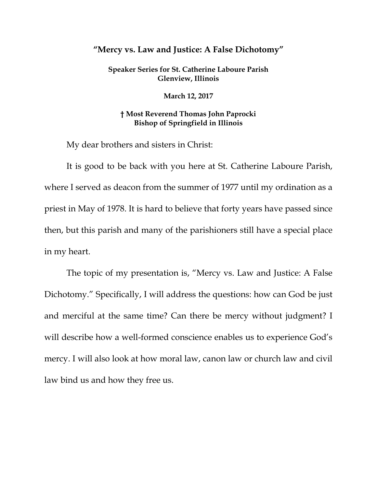## **"Mercy vs. Law and Justice: A False Dichotomy"**

**Speaker Series for St. Catherine Laboure Parish Glenview, Illinois**

**March 12, 2017**

## **† Most Reverend Thomas John Paprocki Bishop of Springfield in Illinois**

My dear brothers and sisters in Christ:

It is good to be back with you here at St. Catherine Laboure Parish, where I served as deacon from the summer of 1977 until my ordination as a priest in May of 1978. It is hard to believe that forty years have passed since then, but this parish and many of the parishioners still have a special place in my heart.

The topic of my presentation is, "Mercy vs. Law and Justice: A False Dichotomy." Specifically, I will address the questions: how can God be just and merciful at the same time? Can there be mercy without judgment? I will describe how a well-formed conscience enables us to experience God's mercy. I will also look at how moral law, canon law or church law and civil law bind us and how they free us.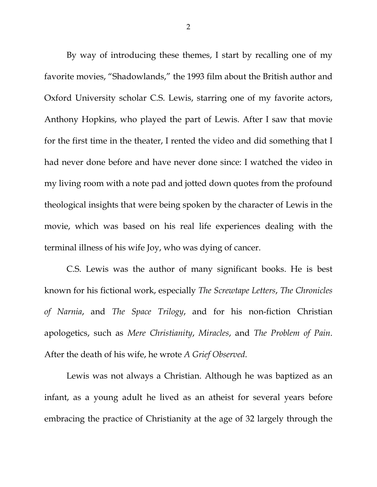By way of introducing these themes, I start by recalling one of my favorite movies, "Shadowlands," the 1993 film about the British author and Oxford University scholar C.S. Lewis, starring one of my favorite actors, Anthony Hopkins, who played the part of Lewis. After I saw that movie for the first time in the theater, I rented the video and did something that I had never done before and have never done since: I watched the video in my living room with a note pad and jotted down quotes from the profound theological insights that were being spoken by the character of Lewis in the movie, which was based on his real life experiences dealing with the terminal illness of his wife Joy, who was dying of cancer.

C.S. Lewis was the author of many significant books. He is best known for his fictional work, especially *The Screwtape Letters*, *The Chronicles of Narnia*, and *The Space Trilogy*, and for his non-fiction Christian apologetics, such as *Mere Christianity*, *Miracles*, and *The Problem of Pain*. After the death of his wife, he wrote *A Grief Observed*.

Lewis was not always a Christian. Although he was baptized as an infant, as a young adult he lived as an atheist for several years before embracing the practice of Christianity at the age of 32 largely through the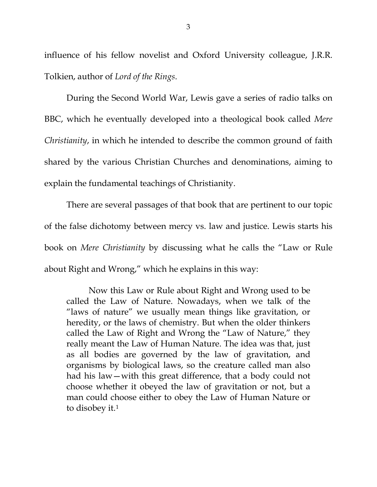influence of his fellow novelist and Oxford University colleague, J.R.R. Tolkien, author of *Lord of the Rings*.

During the Second World War, Lewis gave a series of radio talks on BBC, which he eventually developed into a theological book called *Mere Christianity*, in which he intended to describe the common ground of faith shared by the various Christian Churches and denominations, aiming to explain the fundamental teachings of Christianity.

There are several passages of that book that are pertinent to our topic of the false dichotomy between mercy vs. law and justice. Lewis starts his book on *Mere Christianity* by discussing what he calls the "Law or Rule about Right and Wrong," which he explains in this way:

Now this Law or Rule about Right and Wrong used to be called the Law of Nature. Nowadays, when we talk of the "laws of nature" we usually mean things like gravitation, or heredity, or the laws of chemistry. But when the older thinkers called the Law of Right and Wrong the "Law of Nature," they really meant the Law of Human Nature. The idea was that, just as all bodies are governed by the law of gravitation, and organisms by biological laws, so the creature called man also had his law—with this great difference, that a body could not choose whether it obeyed the law of gravitation or not, but a man could choose either to obey the Law of Human Nature or to disobey it.<sup>[1](#page-36-0)</sup>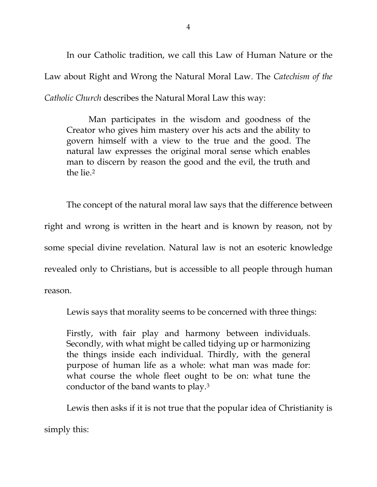In our Catholic tradition, we call this Law of Human Nature or the Law about Right and Wrong the Natural Moral Law. The *Catechism of the Catholic Church* describes the Natural Moral Law this way:

Man participates in the wisdom and goodness of the Creator who gives him mastery over his acts and the ability to govern himself with a view to the true and the good. The natural law expresses the original moral sense which enables man to discern by reason the good and the evil, the truth and the lie.<sup>[2](#page-36-1)</sup>

The concept of the natural moral law says that the difference between right and wrong is written in the heart and is known by reason, not by some special divine revelation. Natural law is not an esoteric knowledge revealed only to Christians, but is accessible to all people through human reason.

Lewis says that morality seems to be concerned with three things:

Firstly, with fair play and harmony between individuals. Secondly, with what might be called tidying up or harmonizing the things inside each individual. Thirdly, with the general purpose of human life as a whole: what man was made for: what course the whole fleet ought to be on: what tune the conductor of the band wants to play.[3](#page-36-2)

Lewis then asks if it is not true that the popular idea of Christianity is

simply this: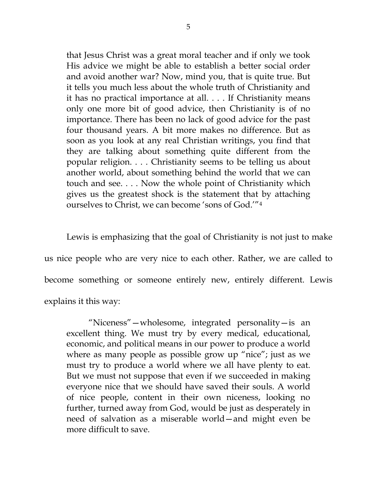that Jesus Christ was a great moral teacher and if only we took His advice we might be able to establish a better social order and avoid another war? Now, mind you, that is quite true. But it tells you much less about the whole truth of Christianity and it has no practical importance at all. . . . If Christianity means only one more bit of good advice, then Christianity is of no importance. There has been no lack of good advice for the past four thousand years. A bit more makes no difference. But as soon as you look at any real Christian writings, you find that they are talking about something quite different from the popular religion. . . . Christianity seems to be telling us about another world, about something behind the world that we can touch and see. . . . Now the whole point of Christianity which gives us the greatest shock is the statement that by attaching ourselves to Christ, we can become 'sons of God.'["4](#page-36-3)

Lewis is emphasizing that the goal of Christianity is not just to make us nice people who are very nice to each other. Rather, we are called to become something or someone entirely new, entirely different. Lewis explains it this way:

"Niceness"—wholesome, integrated personality—is an excellent thing. We must try by every medical, educational, economic, and political means in our power to produce a world where as many people as possible grow up "nice"; just as we must try to produce a world where we all have plenty to eat. But we must not suppose that even if we succeeded in making everyone nice that we should have saved their souls. A world of nice people, content in their own niceness, looking no further, turned away from God, would be just as desperately in need of salvation as a miserable world—and might even be more difficult to save.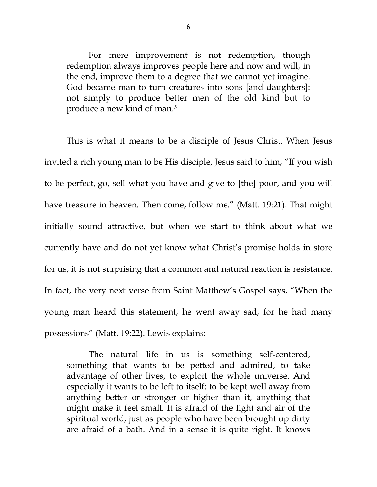For mere improvement is not redemption, though redemption always improves people here and now and will, in the end, improve them to a degree that we cannot yet imagine. God became man to turn creatures into sons [and daughters]: not simply to produce better men of the old kind but to produce a new kind of man.[5](#page-36-4)

This is what it means to be a disciple of Jesus Christ. When Jesus invited a rich young man to be His disciple, Jesus said to him, "If you wish to be perfect, go, sell what you have and give to [the] poor, and you will have treasure in heaven. Then come, follow me." (Matt. 19:21). That might initially sound attractive, but when we start to think about what we currently have and do not yet know what Christ's promise holds in store for us, it is not surprising that a common and natural reaction is resistance. In fact, the very next verse from Saint Matthew's Gospel says, "When the young man heard this statement, he went away sad, for he had many possessions" (Matt. 19:22). Lewis explains:

The natural life in us is something self-centered, something that wants to be petted and admired, to take advantage of other lives, to exploit the whole universe. And especially it wants to be left to itself: to be kept well away from anything better or stronger or higher than it, anything that might make it feel small. It is afraid of the light and air of the spiritual world, just as people who have been brought up dirty are afraid of a bath. And in a sense it is quite right. It knows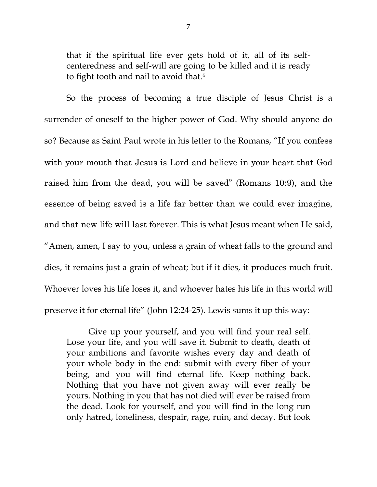that if the spiritual life ever gets hold of it, all of its selfcenteredness and self-will are going to be killed and it is ready to fight tooth and nail to avoid that.<sup>[6](#page-36-5)</sup>

So the process of becoming a true disciple of Jesus Christ is a surrender of oneself to the higher power of God. Why should anyone do so? Because as Saint Paul wrote in his letter to the Romans, "If you confess with your mouth that Jesus is Lord and believe in your heart that God raised him from the dead, you will be saved" (Romans 10:9), and the essence of being saved is a life far better than we could ever imagine, and that new life will last forever. This is what Jesus meant when He said, "Amen, amen, I say to you, unless a grain of wheat falls to the ground and dies, it remains just a grain of wheat; but if it dies, it produces much fruit. Whoever loves his life loses it, and whoever hates his life in this world will preserve it for eternal life" (John 12:24-25). Lewis sums it up this way:

Give up your yourself, and you will find your real self. Lose your life, and you will save it. Submit to death, death of your ambitions and favorite wishes every day and death of your whole body in the end: submit with every fiber of your being, and you will find eternal life. Keep nothing back. Nothing that you have not given away will ever really be yours. Nothing in you that has not died will ever be raised from the dead. Look for yourself, and you will find in the long run only hatred, loneliness, despair, rage, ruin, and decay. But look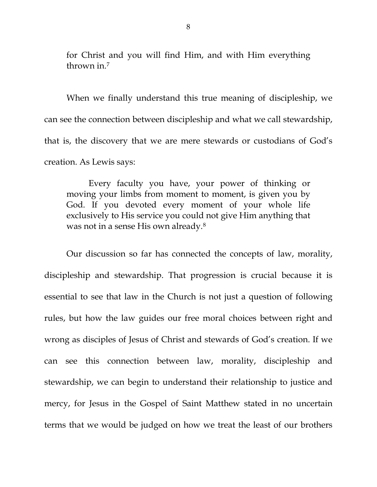for Christ and you will find Him, and with Him everything thrown in[.7](#page-36-6)

When we finally understand this true meaning of discipleship, we can see the connection between discipleship and what we call stewardship, that is, the discovery that we are mere stewards or custodians of God's creation. As Lewis says:

Every faculty you have, your power of thinking or moving your limbs from moment to moment, is given you by God. If you devoted every moment of your whole life exclusively to His service you could not give Him anything that was not in a sense His own already.[8](#page-36-7)

Our discussion so far has connected the concepts of law, morality, discipleship and stewardship. That progression is crucial because it is essential to see that law in the Church is not just a question of following rules, but how the law guides our free moral choices between right and wrong as disciples of Jesus of Christ and stewards of God's creation. If we can see this connection between law, morality, discipleship and stewardship, we can begin to understand their relationship to justice and mercy, for Jesus in the Gospel of Saint Matthew stated in no uncertain terms that we would be judged on how we treat the least of our brothers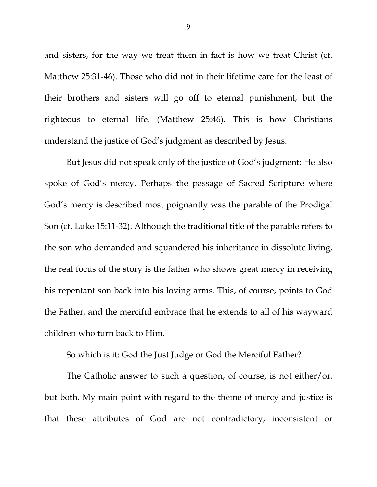and sisters, for the way we treat them in fact is how we treat Christ (cf. Matthew 25:31-46). Those who did not in their lifetime care for the least of their brothers and sisters will go off to eternal punishment, but the righteous to eternal life. (Matthew 25:46). This is how Christians understand the justice of God's judgment as described by Jesus.

But Jesus did not speak only of the justice of God's judgment; He also spoke of God's mercy. Perhaps the passage of Sacred Scripture where God's mercy is described most poignantly was the parable of the Prodigal Son (cf. Luke 15:11-32). Although the traditional title of the parable refers to the son who demanded and squandered his inheritance in dissolute living, the real focus of the story is the father who shows great mercy in receiving his repentant son back into his loving arms. This, of course, points to God the Father, and the merciful embrace that he extends to all of his wayward children who turn back to Him.

So which is it: God the Just Judge or God the Merciful Father?

The Catholic answer to such a question, of course, is not either/or, but both. My main point with regard to the theme of mercy and justice is that these attributes of God are not contradictory, inconsistent or

9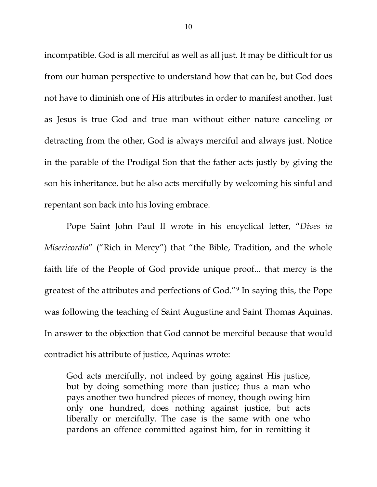incompatible. God is all merciful as well as all just. It may be difficult for us from our human perspective to understand how that can be, but God does not have to diminish one of His attributes in order to manifest another. Just as Jesus is true God and true man without either nature canceling or detracting from the other, God is always merciful and always just. Notice in the parable of the Prodigal Son that the father acts justly by giving the son his inheritance, but he also acts mercifully by welcoming his sinful and repentant son back into his loving embrace.

Pope Saint John Paul II wrote in his encyclical letter, "*Dives in Misericordia*" ("Rich in Mercy") that "the Bible, Tradition, and the whole faith life of the People of God provide unique proof... that mercy is the greatest of the attributes and perfections of God."[9](#page-36-8) In saying this, the Pope was following the teaching of Saint Augustine and Saint Thomas Aquinas. In answer to the objection that God cannot be merciful because that would contradict his attribute of justice, Aquinas wrote:

God acts mercifully, not indeed by going against His justice, but by doing something more than justice; thus a man who pays another two hundred pieces of money, though owing him only one hundred, does nothing against justice, but acts liberally or mercifully. The case is the same with one who pardons an offence committed against him, for in remitting it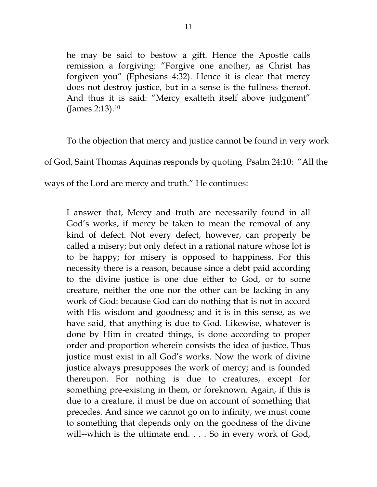he may be said to bestow a gift. Hence the Apostle calls remission a forgiving: "Forgive one another, as Christ has forgiven you" (Ephesians 4:32). Hence it is clear that mercy does not destroy justice, but in a sense is the fullness thereof. And thus it is said: "Mercy exalteth itself above judgment" (James 2:13).[10](#page-36-9)

To the objection that mercy and justice cannot be found in very work of God, Saint Thomas Aquinas responds by quoting Psalm 24:10: "All the ways of the Lord are mercy and truth." He continues:

I answer that, Mercy and truth are necessarily found in all God's works, if mercy be taken to mean the removal of any kind of defect. Not every defect, however, can properly be called a misery; but only defect in a rational nature whose lot is to be happy; for misery is opposed to happiness. For this necessity there is a reason, because since a debt paid according to the divine justice is one due either to God, or to some creature, neither the one nor the other can be lacking in any work of God: because God can do nothing that is not in accord with His wisdom and goodness; and it is in this sense, as we have said, that anything is due to God. Likewise, whatever is done by Him in created things, is done according to proper order and proportion wherein consists the idea of justice. Thus justice must exist in all God's works. Now the work of divine justice always presupposes the work of mercy; and is founded thereupon. For nothing is due to creatures, except for something pre-existing in them, or foreknown. Again, if this is due to a creature, it must be due on account of something that precedes. And since we cannot go on to infinity, we must come to something that depends only on the goodness of the divine will--which is the ultimate end. . . . So in every work of God,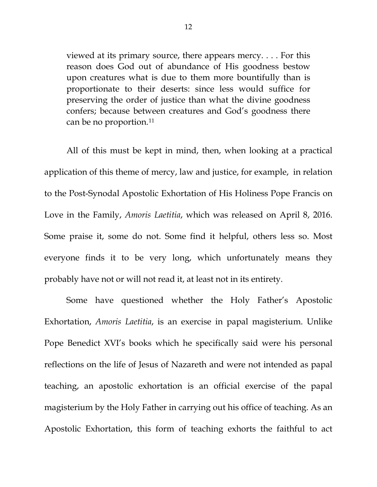viewed at its primary source, there appears mercy. . . . For this reason does God out of abundance of His goodness bestow upon creatures what is due to them more bountifully than is proportionate to their deserts: since less would suffice for preserving the order of justice than what the divine goodness confers; because between creatures and God's goodness there can be no proportion.<sup>[11](#page-36-10)</sup>

All of this must be kept in mind, then, when looking at a practical application of this theme of mercy, law and justice, for example, in relation to the Post-Synodal Apostolic Exhortation of His Holiness Pope Francis on Love in the Family, *Amoris Laetitia*, which was released on April 8, 2016. Some praise it, some do not. Some find it helpful, others less so. Most everyone finds it to be very long, which unfortunately means they probably have not or will not read it, at least not in its entirety.

Some have questioned whether the Holy Father's Apostolic Exhortation, *Amoris Laetitia*, is an exercise in papal magisterium. Unlike Pope Benedict XVI's books which he specifically said were his personal reflections on the life of Jesus of Nazareth and were not intended as papal teaching, an apostolic exhortation is an official exercise of the papal magisterium by the Holy Father in carrying out his office of teaching. As an Apostolic Exhortation, this form of teaching exhorts the faithful to act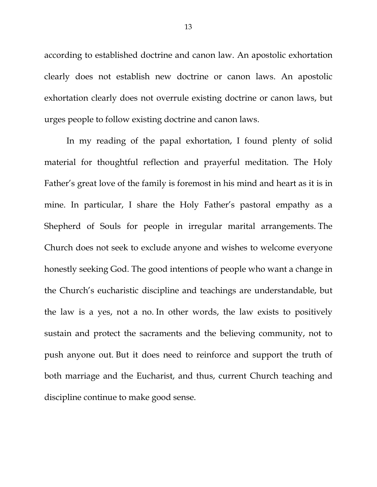according to established doctrine and canon law. An apostolic exhortation clearly does not establish new doctrine or canon laws. An apostolic exhortation clearly does not overrule existing doctrine or canon laws, but urges people to follow existing doctrine and canon laws.

In my reading of the papal exhortation, I found plenty of solid material for thoughtful reflection and prayerful meditation. The Holy Father's great love of the family is foremost in his mind and heart as it is in mine. In particular, I share the Holy Father's pastoral empathy as a Shepherd of Souls for people in irregular marital arrangements. The Church does not seek to exclude anyone and wishes to welcome everyone honestly seeking God. The good intentions of people who want a change in the Church's eucharistic discipline and teachings are understandable, but the law is a yes, not a no. In other words, the law exists to positively sustain and protect the sacraments and the believing community, not to push anyone out. But it does need to reinforce and support the truth of both marriage and the Eucharist, and thus, current Church teaching and discipline continue to make good sense.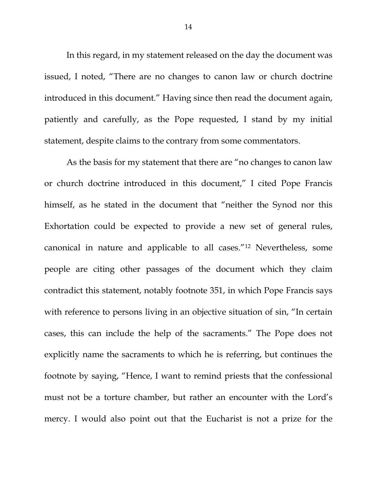In this regard, in my statement released on the day the document was issued, I noted, "There are no changes to canon law or church doctrine introduced in this document." Having since then read the document again, patiently and carefully, as the Pope requested, I stand by my initial statement, despite claims to the contrary from some commentators.

As the basis for my statement that there are "no changes to canon law or church doctrine introduced in this document," I cited Pope Francis himself, as he stated in the document that "neither the Synod nor this Exhortation could be expected to provide a new set of general rules, canonical in nature and applicable to all cases."[12](#page-36-11) Nevertheless, some people are citing other passages of the document which they claim contradict this statement, notably footnote 351, in which Pope Francis says with reference to persons living in an objective situation of sin, "In certain cases, this can include the help of the sacraments." The Pope does not explicitly name the sacraments to which he is referring, but continues the footnote by saying, "Hence, I want to remind priests that the confessional must not be a torture chamber, but rather an encounter with the Lord's mercy. I would also point out that the Eucharist is not a prize for the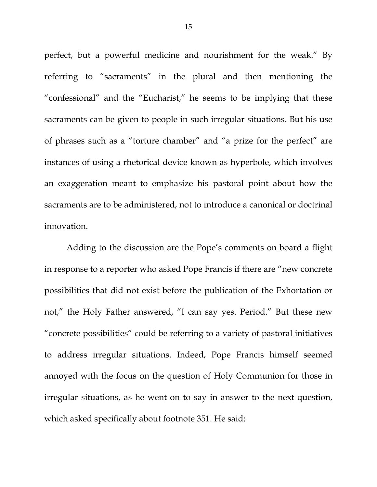perfect, but a powerful medicine and nourishment for the weak." By referring to "sacraments" in the plural and then mentioning the "confessional" and the "Eucharist," he seems to be implying that these sacraments can be given to people in such irregular situations. But his use of phrases such as a "torture chamber" and "a prize for the perfect" are instances of using a rhetorical device known as hyperbole, which involves an exaggeration meant to emphasize his pastoral point about how the sacraments are to be administered, not to introduce a canonical or doctrinal innovation.

Adding to the discussion are the Pope's comments on board a flight in response to a reporter who asked Pope Francis if there are "new concrete possibilities that did not exist before the publication of the Exhortation or not," the Holy Father answered, "I can say yes. Period." But these new "concrete possibilities" could be referring to a variety of pastoral initiatives to address irregular situations. Indeed, Pope Francis himself seemed annoyed with the focus on the question of Holy Communion for those in irregular situations, as he went on to say in answer to the next question, which asked specifically about footnote 351. He said: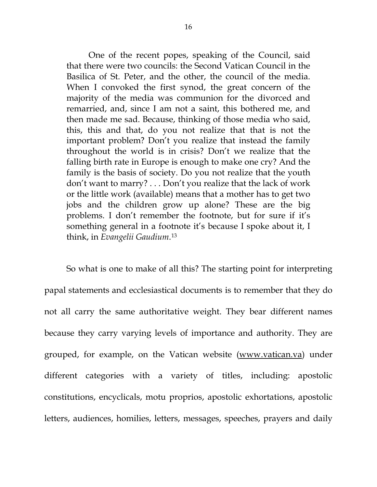One of the recent popes, speaking of the Council, said that there were two councils: the Second Vatican Council in the Basilica of St. Peter, and the other, the council of the media. When I convoked the first synod, the great concern of the majority of the media was communion for the divorced and remarried, and, since I am not a saint, this bothered me, and then made me sad. Because, thinking of those media who said, this, this and that, do you not realize that that is not the important problem? Don't you realize that instead the family throughout the world is in crisis? Don't we realize that the falling birth rate in Europe is enough to make one cry? And the family is the basis of society. Do you not realize that the youth don't want to marry? . . . Don't you realize that the lack of work or the little work (available) means that a mother has to get two jobs and the children grow up alone? These are the big problems. I don't remember the footnote, but for sure if it's something general in a footnote it's because I spoke about it, I think, in *Evangelii Gaudium*.[13](#page-36-12)

So what is one to make of all this? The starting point for interpreting papal statements and ecclesiastical documents is to remember that they do not all carry the same authoritative weight. They bear different names because they carry varying levels of importance and authority. They are grouped, for example, on the Vatican website [\(www.vatican.va\)](http://www.vatican.va/) under different categories with a variety of titles, including: apostolic constitutions, encyclicals, motu proprios, apostolic exhortations, apostolic letters, audiences, homilies, letters, messages, speeches, prayers and daily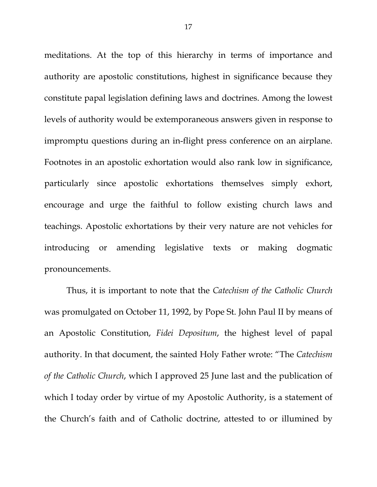meditations. At the top of this hierarchy in terms of importance and authority are apostolic constitutions, highest in significance because they constitute papal legislation defining laws and doctrines. Among the lowest levels of authority would be extemporaneous answers given in response to impromptu questions during an in-flight press conference on an airplane. Footnotes in an apostolic exhortation would also rank low in significance, particularly since apostolic exhortations themselves simply exhort, encourage and urge the faithful to follow existing church laws and teachings. Apostolic exhortations by their very nature are not vehicles for introducing or amending legislative texts or making dogmatic pronouncements.

Thus, it is important to note that the *Catechism of the Catholic Church* was promulgated on October 11, 1992, by Pope St. John Paul II by means of an Apostolic Constitution, *Fidei Depositum*, the highest level of papal authority. In that document, the sainted Holy Father wrote: "The *Catechism of the Catholic Church*, which I approved 25 June last and the publication of which I today order by virtue of my Apostolic Authority, is a statement of the Church's faith and of Catholic doctrine, attested to or illumined by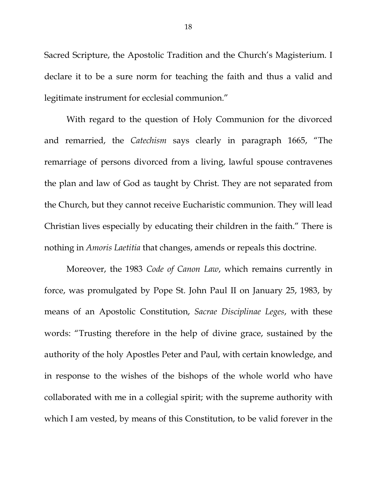Sacred Scripture, the Apostolic Tradition and the Church's Magisterium. I declare it to be a sure norm for teaching the faith and thus a valid and legitimate instrument for ecclesial communion."

With regard to the question of Holy Communion for the divorced and remarried, the *Catechism* says clearly in paragraph 1665, "The remarriage of persons divorced from a living, lawful spouse contravenes the plan and law of God as taught by Christ. They are not separated from the Church, but they cannot receive Eucharistic communion. They will lead Christian lives especially by educating their children in the faith." There is nothing in *Amoris Laetitia* that changes, amends or repeals this doctrine.

Moreover, the 1983 *Code of Canon Law*, which remains currently in force, was promulgated by Pope St. John Paul II on January 25, 1983, by means of an Apostolic Constitution, *Sacrae Disciplinae Leges*, with these words: "Trusting therefore in the help of divine grace, sustained by the authority of the holy Apostles Peter and Paul, with certain knowledge, and in response to the wishes of the bishops of the whole world who have collaborated with me in a collegial spirit; with the supreme authority with which I am vested, by means of this Constitution, to be valid forever in the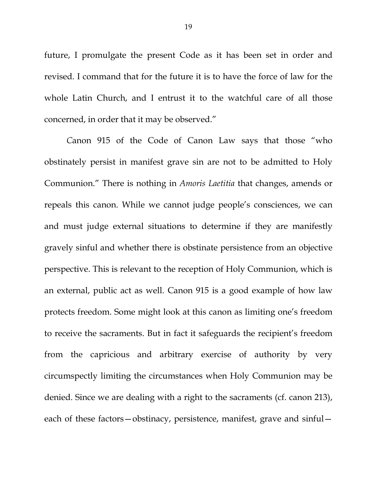future, I promulgate the present Code as it has been set in order and revised. I command that for the future it is to have the force of law for the whole Latin Church, and I entrust it to the watchful care of all those concerned, in order that it may be observed."

*C*anon 915 of the Code of Canon Law says that those "who obstinately persist in manifest grave sin are not to be admitted to Holy Communion." There is nothing in *Amoris Laetitia* that changes, amends or repeals this canon. While we cannot judge people's consciences, we can and must judge external situations to determine if they are manifestly gravely sinful and whether there is obstinate persistence from an objective perspective. This is relevant to the reception of Holy Communion, which is an external, public act as well. Canon 915 is a good example of how law protects freedom. Some might look at this canon as limiting one's freedom to receive the sacraments. But in fact it safeguards the recipient's freedom from the capricious and arbitrary exercise of authority by very circumspectly limiting the circumstances when Holy Communion may be denied. Since we are dealing with a right to the sacraments (cf. canon 213), each of these factors—obstinacy, persistence, manifest, grave and sinful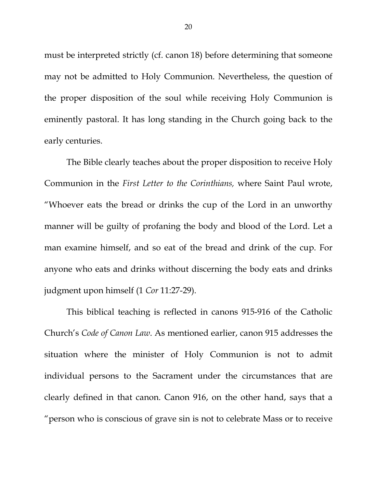must be interpreted strictly (cf. canon 18) before determining that someone may not be admitted to Holy Communion. Nevertheless, the question of the proper disposition of the soul while receiving Holy Communion is eminently pastoral. It has long standing in the Church going back to the early centuries.

The Bible clearly teaches about the proper disposition to receive Holy Communion in the *First Letter to the Corinthians,* where Saint Paul wrote, "Whoever eats the bread or drinks the cup of the Lord in an unworthy manner will be guilty of profaning the body and blood of the Lord. Let a man examine himself, and so eat of the bread and drink of the cup. For anyone who eats and drinks without discerning the body eats and drinks judgment upon himself (1 *Cor* 11:27-29).

This biblical teaching is reflected in canons 915-916 of the Catholic Church's *Code of Canon Law*. As mentioned earlier, canon 915 addresses the situation where the minister of Holy Communion is not to admit individual persons to the Sacrament under the circumstances that are clearly defined in that canon. Canon 916, on the other hand, says that a "person who is conscious of grave sin is not to celebrate Mass or to receive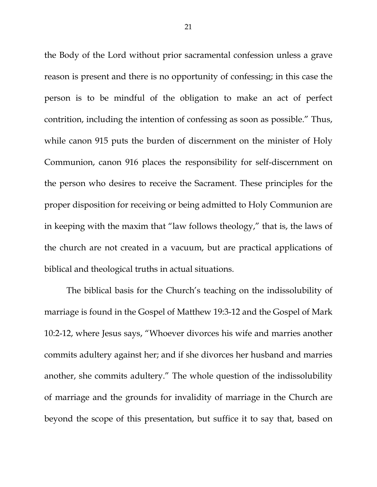the Body of the Lord without prior sacramental confession unless a grave reason is present and there is no opportunity of confessing; in this case the person is to be mindful of the obligation to make an act of perfect contrition, including the intention of confessing as soon as possible." Thus, while canon 915 puts the burden of discernment on the minister of Holy Communion, canon 916 places the responsibility for self-discernment on the person who desires to receive the Sacrament. These principles for the proper disposition for receiving or being admitted to Holy Communion are in keeping with the maxim that "law follows theology," that is, the laws of the church are not created in a vacuum, but are practical applications of biblical and theological truths in actual situations.

The biblical basis for the Church's teaching on the indissolubility of marriage is found in the Gospel of Matthew 19:3-12 and the Gospel of Mark 10:2-12, where Jesus says, "Whoever divorces his wife and marries another commits adultery against her; and if she divorces her husband and marries another, she commits adultery." The whole question of the indissolubility of marriage and the grounds for invalidity of marriage in the Church are beyond the scope of this presentation, but suffice it to say that, based on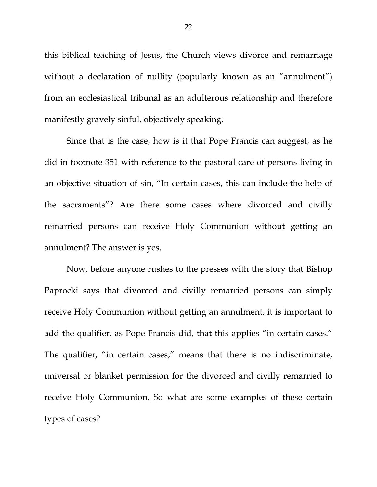this biblical teaching of Jesus, the Church views divorce and remarriage without a declaration of nullity (popularly known as an "annulment") from an ecclesiastical tribunal as an adulterous relationship and therefore manifestly gravely sinful, objectively speaking.

Since that is the case, how is it that Pope Francis can suggest, as he did in footnote 351 with reference to the pastoral care of persons living in an objective situation of sin, "In certain cases, this can include the help of the sacraments"? Are there some cases where divorced and civilly remarried persons can receive Holy Communion without getting an annulment? The answer is yes.

Now, before anyone rushes to the presses with the story that Bishop Paprocki says that divorced and civilly remarried persons can simply receive Holy Communion without getting an annulment, it is important to add the qualifier, as Pope Francis did, that this applies "in certain cases." The qualifier, "in certain cases," means that there is no indiscriminate, universal or blanket permission for the divorced and civilly remarried to receive Holy Communion. So what are some examples of these certain types of cases?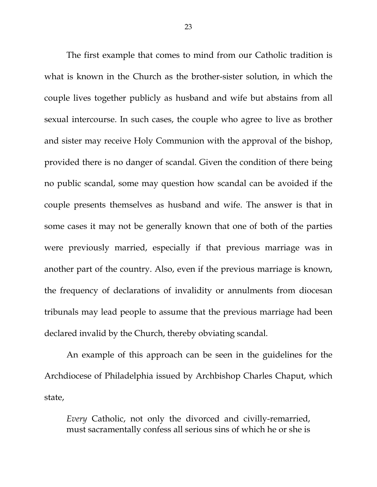The first example that comes to mind from our Catholic tradition is what is known in the Church as the brother-sister solution, in which the couple lives together publicly as husband and wife but abstains from all sexual intercourse. In such cases, the couple who agree to live as brother and sister may receive Holy Communion with the approval of the bishop, provided there is no danger of scandal. Given the condition of there being no public scandal, some may question how scandal can be avoided if the couple presents themselves as husband and wife. The answer is that in some cases it may not be generally known that one of both of the parties were previously married, especially if that previous marriage was in another part of the country. Also, even if the previous marriage is known, the frequency of declarations of invalidity or annulments from diocesan tribunals may lead people to assume that the previous marriage had been declared invalid by the Church, thereby obviating scandal.

An example of this approach can be seen in the guidelines for the Archdiocese of Philadelphia issued by Archbishop Charles Chaput, which state,

*Every* Catholic, not only the divorced and civilly-remarried, must sacramentally confess all serious sins of which he or she is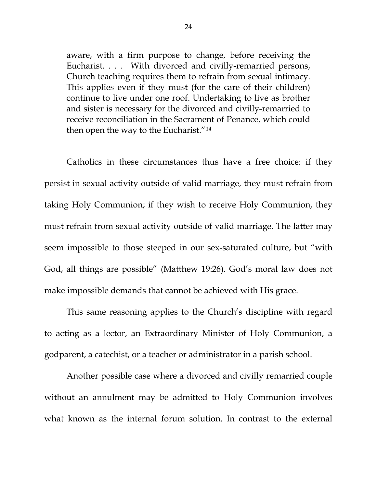aware, with a firm purpose to change, before receiving the Eucharist. . . . With divorced and civilly-remarried persons, Church teaching requires them to refrain from sexual intimacy. This applies even if they must (for the care of their children) continue to live under one roof. Undertaking to live as brother and sister is necessary for the divorced and civilly-remarried to receive reconciliation in the Sacrament of Penance, which could then open the way to the Eucharist.["14](#page-36-13)

Catholics in these circumstances thus have a free choice: if they persist in sexual activity outside of valid marriage, they must refrain from taking Holy Communion; if they wish to receive Holy Communion, they must refrain from sexual activity outside of valid marriage. The latter may seem impossible to those steeped in our sex-saturated culture, but "with God, all things are possible" (Matthew 19:26). God's moral law does not make impossible demands that cannot be achieved with His grace.

This same reasoning applies to the Church's discipline with regard to acting as a lector, an Extraordinary Minister of Holy Communion, a godparent, a catechist, or a teacher or administrator in a parish school.

Another possible case where a divorced and civilly remarried couple without an annulment may be admitted to Holy Communion involves what known as the internal forum solution. In contrast to the external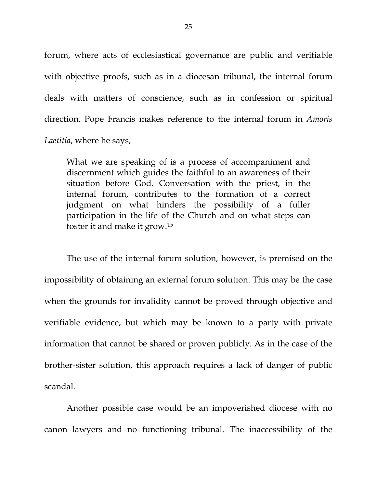forum, where acts of ecclesiastical governance are public and verifiable with objective proofs, such as in a diocesan tribunal, the internal forum deals with matters of conscience, such as in confession or spiritual direction. Pope Francis makes reference to the internal forum in *Amoris Laetitia*, where he says,

What we are speaking of is a process of accompaniment and discernment which guides the faithful to an awareness of their situation before God. Conversation with the priest, in the internal forum, contributes to the formation of a correct judgment on what hinders the possibility of a fuller participation in the life of the Church and on what steps can foster it and make it grow.[15](#page-36-14)

The use of the internal forum solution, however, is premised on the impossibility of obtaining an external forum solution. This may be the case when the grounds for invalidity cannot be proved through objective and verifiable evidence, but which may be known to a party with private information that cannot be shared or proven publicly. As in the case of the brother-sister solution, this approach requires a lack of danger of public scandal.

Another possible case would be an impoverished diocese with no canon lawyers and no functioning tribunal. The inaccessibility of the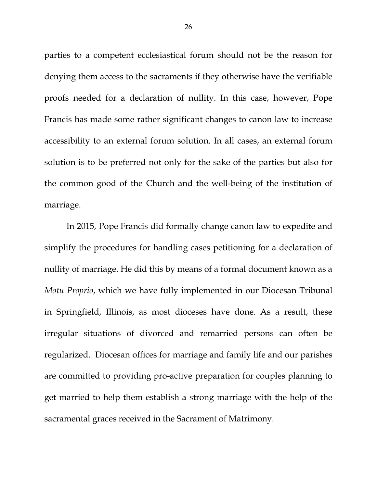parties to a competent ecclesiastical forum should not be the reason for denying them access to the sacraments if they otherwise have the verifiable proofs needed for a declaration of nullity. In this case, however, Pope Francis has made some rather significant changes to canon law to increase accessibility to an external forum solution. In all cases, an external forum solution is to be preferred not only for the sake of the parties but also for the common good of the Church and the well-being of the institution of marriage.

In 2015, Pope Francis did formally change canon law to expedite and simplify the procedures for handling cases petitioning for a declaration of nullity of marriage. He did this by means of a formal document known as a *Motu Proprio*, which we have fully implemented in our Diocesan Tribunal in Springfield, Illinois, as most dioceses have done. As a result, these irregular situations of divorced and remarried persons can often be regularized. Diocesan offices for marriage and family life and our parishes are committed to providing pro-active preparation for couples planning to get married to help them establish a strong marriage with the help of the sacramental graces received in the Sacrament of Matrimony.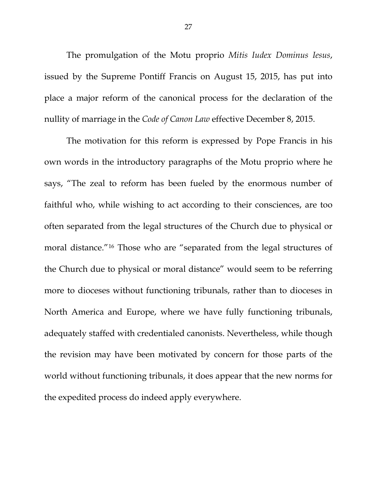The promulgation of the Motu proprio *Mitis Iudex Dominus Iesus*, issued by the Supreme Pontiff Francis on August 15, 2015, has put into place a major reform of the canonical process for the declaration of the nullity of marriage in the *Code of Canon Law* effective December 8, 2015.

The motivation for this reform is expressed by Pope Francis in his own words in the introductory paragraphs of the Motu proprio where he says, "The zeal to reform has been fueled by the enormous number of faithful who, while wishing to act according to their consciences, are too often separated from the legal structures of the Church due to physical or moral distance."[16](#page-36-15) Those who are "separated from the legal structures of the Church due to physical or moral distance" would seem to be referring more to dioceses without functioning tribunals, rather than to dioceses in North America and Europe, where we have fully functioning tribunals, adequately staffed with credentialed canonists. Nevertheless, while though the revision may have been motivated by concern for those parts of the world without functioning tribunals, it does appear that the new norms for the expedited process do indeed apply everywhere.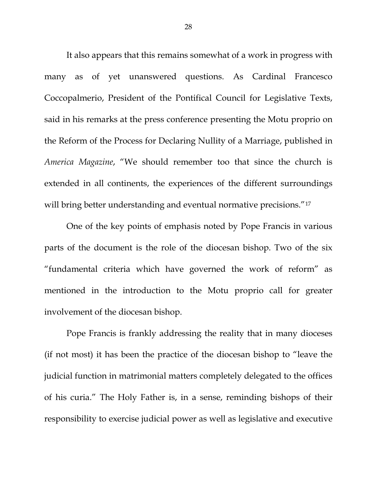It also appears that this remains somewhat of a work in progress with many as of yet unanswered questions. As Cardinal Francesco Coccopalmerio, President of the Pontifical Council for Legislative Texts, said in his remarks at the press conference presenting the Motu proprio on the Reform of the Process for Declaring Nullity of a Marriage, published in *America Magazine*, "We should remember too that since the church is extended in all continents, the experiences of the different surroundings will bring better understanding and eventual normative precisions."<sup>[17](#page-37-0)</sup>

One of the key points of emphasis noted by Pope Francis in various parts of the document is the role of the diocesan bishop. Two of the six "fundamental criteria which have governed the work of reform" as mentioned in the introduction to the Motu proprio call for greater involvement of the diocesan bishop.

Pope Francis is frankly addressing the reality that in many dioceses (if not most) it has been the practice of the diocesan bishop to "leave the judicial function in matrimonial matters completely delegated to the offices of his curia." The Holy Father is, in a sense, reminding bishops of their responsibility to exercise judicial power as well as legislative and executive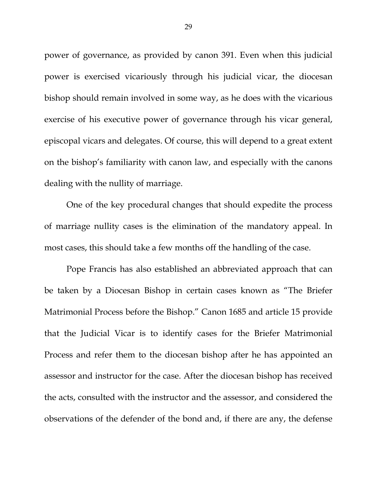power of governance, as provided by canon 391. Even when this judicial power is exercised vicariously through his judicial vicar, the diocesan bishop should remain involved in some way, as he does with the vicarious exercise of his executive power of governance through his vicar general, episcopal vicars and delegates. Of course, this will depend to a great extent on the bishop's familiarity with canon law, and especially with the canons dealing with the nullity of marriage.

One of the key procedural changes that should expedite the process of marriage nullity cases is the elimination of the mandatory appeal. In most cases, this should take a few months off the handling of the case.

Pope Francis has also established an abbreviated approach that can be taken by a Diocesan Bishop in certain cases known as "The Briefer Matrimonial Process before the Bishop." Canon 1685 and article 15 provide that the Judicial Vicar is to identify cases for the Briefer Matrimonial Process and refer them to the diocesan bishop after he has appointed an assessor and instructor for the case. After the diocesan bishop has received the acts, consulted with the instructor and the assessor, and considered the observations of the defender of the bond and, if there are any, the defense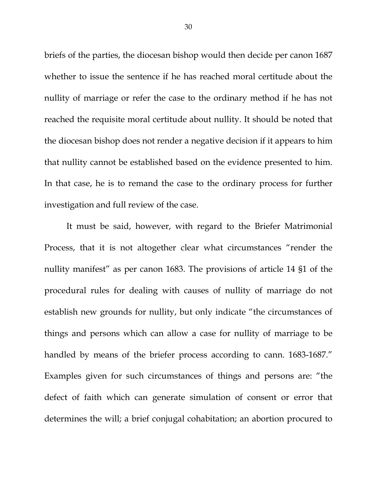briefs of the parties, the diocesan bishop would then decide per canon 1687 whether to issue the sentence if he has reached moral certitude about the nullity of marriage or refer the case to the ordinary method if he has not reached the requisite moral certitude about nullity. It should be noted that the diocesan bishop does not render a negative decision if it appears to him that nullity cannot be established based on the evidence presented to him. In that case, he is to remand the case to the ordinary process for further investigation and full review of the case.

It must be said, however, with regard to the Briefer Matrimonial Process, that it is not altogether clear what circumstances "render the nullity manifest" as per canon 1683. The provisions of article 14 §1 of the procedural rules for dealing with causes of nullity of marriage do not establish new grounds for nullity, but only indicate "the circumstances of things and persons which can allow a case for nullity of marriage to be handled by means of the briefer process according to cann. 1683-1687." Examples given for such circumstances of things and persons are: "the defect of faith which can generate simulation of consent or error that determines the will; a brief conjugal cohabitation; an abortion procured to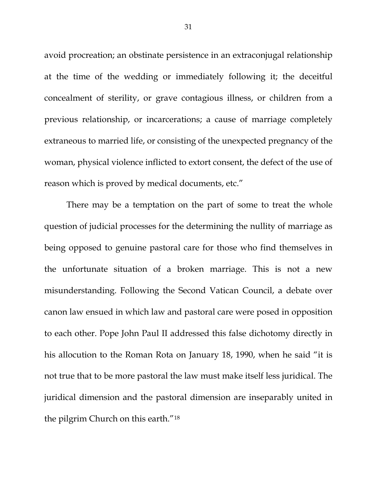avoid procreation; an obstinate persistence in an extraconjugal relationship at the time of the wedding or immediately following it; the deceitful concealment of sterility, or grave contagious illness, or children from a previous relationship, or incarcerations; a cause of marriage completely extraneous to married life, or consisting of the unexpected pregnancy of the woman, physical violence inflicted to extort consent, the defect of the use of reason which is proved by medical documents, etc."

There may be a temptation on the part of some to treat the whole question of judicial processes for the determining the nullity of marriage as being opposed to genuine pastoral care for those who find themselves in the unfortunate situation of a broken marriage. This is not a new misunderstanding. Following the Second Vatican Council, a debate over canon law ensued in which law and pastoral care were posed in opposition to each other. Pope John Paul II addressed this false dichotomy directly in his allocution to the Roman Rota on January 18, 1990, when he said "it is not true that to be more pastoral the law must make itself less juridical. The juridical dimension and the pastoral dimension are inseparably united in the pilgrim Church on this earth."[18](#page-37-1)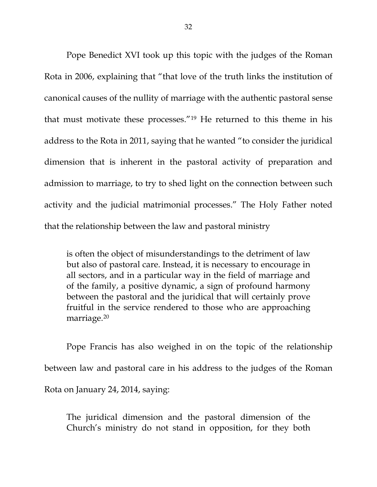Pope Benedict XVI took up this topic with the judges of the Roman Rota in 2006, explaining that "that love of the truth links the institution of canonical causes of the nullity of marriage with the authentic pastoral sense that must motivate these processes."[19](#page-37-2) He returned to this theme in his address to the Rota in 2011, saying that he wanted "to consider the juridical dimension that is inherent in the pastoral activity of preparation and admission to marriage, to try to shed light on the connection between such activity and the judicial matrimonial processes." The Holy Father noted that the relationship between the law and pastoral ministry

is often the object of misunderstandings to the detriment of law but also of pastoral care. Instead, it is necessary to encourage in all sectors, and in a particular way in the field of marriage and of the family, a positive dynamic, a sign of profound harmony between the pastoral and the juridical that will certainly prove fruitful in the service rendered to those who are approaching marriage.[20](#page-37-3)

Pope Francis has also weighed in on the topic of the relationship between law and pastoral care in his address to the judges of the Roman Rota on January 24, 2014, saying:

The juridical dimension and the pastoral dimension of the Church's ministry do not stand in opposition, for they both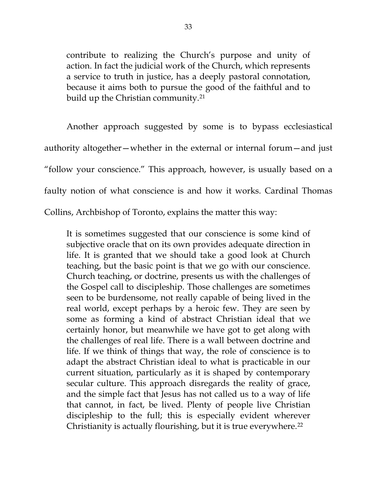contribute to realizing the Church's purpose and unity of action. In fact the judicial work of the Church, which represents a service to truth in justice, has a deeply pastoral connotation, because it aims both to pursue the good of the faithful and to build up the Christian community.[21](#page-37-4)

Another approach suggested by some is to bypass ecclesiastical authority altogether—whether in the external or internal forum—and just "follow your conscience." This approach, however, is usually based on a faulty notion of what conscience is and how it works. Cardinal Thomas Collins, Archbishop of Toronto, explains the matter this way:

It is sometimes suggested that our conscience is some kind of subjective oracle that on its own provides adequate direction in life. It is granted that we should take a good look at Church teaching, but the basic point is that we go with our conscience. Church teaching, or doctrine, presents us with the challenges of the Gospel call to discipleship. Those challenges are sometimes seen to be burdensome, not really capable of being lived in the real world, except perhaps by a heroic few. They are seen by some as forming a kind of abstract Christian ideal that we certainly honor, but meanwhile we have got to get along with the challenges of real life. There is a wall between doctrine and life. If we think of things that way, the role of conscience is to adapt the abstract Christian ideal to what is practicable in our current situation, particularly as it is shaped by contemporary secular culture. This approach disregards the reality of grace, and the simple fact that Jesus has not called us to a way of life that cannot, in fact, be lived. Plenty of people live Christian discipleship to the full; this is especially evident wherever Christianity is actually flourishing, but it is true everywhere.[22](#page-37-5)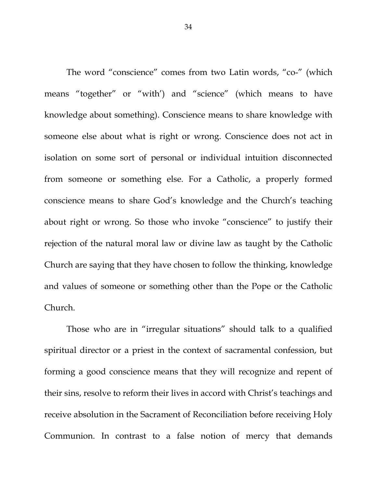The word "conscience" comes from two Latin words, "co-" (which means "together" or "with') and "science" (which means to have knowledge about something). Conscience means to share knowledge with someone else about what is right or wrong. Conscience does not act in isolation on some sort of personal or individual intuition disconnected from someone or something else. For a Catholic, a properly formed conscience means to share God's knowledge and the Church's teaching about right or wrong. So those who invoke "conscience" to justify their rejection of the natural moral law or divine law as taught by the Catholic Church are saying that they have chosen to follow the thinking, knowledge and values of someone or something other than the Pope or the Catholic Church.

Those who are in "irregular situations" should talk to a qualified spiritual director or a priest in the context of sacramental confession, but forming a good conscience means that they will recognize and repent of their sins, resolve to reform their lives in accord with Christ's teachings and receive absolution in the Sacrament of Reconciliation before receiving Holy Communion. In contrast to a false notion of mercy that demands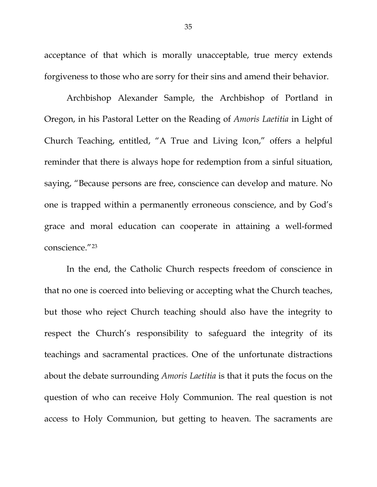acceptance of that which is morally unacceptable, true mercy extends forgiveness to those who are sorry for their sins and amend their behavior.

Archbishop Alexander Sample, the Archbishop of Portland in Oregon, in his Pastoral Letter on the Reading of *Amoris Laetitia* in Light of Church Teaching, entitled, "A True and Living Icon," offers a helpful reminder that there is always hope for redemption from a sinful situation, saying, "Because persons are free, conscience can develop and mature. No one is trapped within a permanently erroneous conscience, and by God's grace and moral education can cooperate in attaining a well-formed conscience."[23](#page-37-6)

In the end, the Catholic Church respects freedom of conscience in that no one is coerced into believing or accepting what the Church teaches, but those who reject Church teaching should also have the integrity to respect the Church's responsibility to safeguard the integrity of its teachings and sacramental practices. One of the unfortunate distractions about the debate surrounding *Amoris Laetitia* is that it puts the focus on the question of who can receive Holy Communion. The real question is not access to Holy Communion, but getting to heaven. The sacraments are

35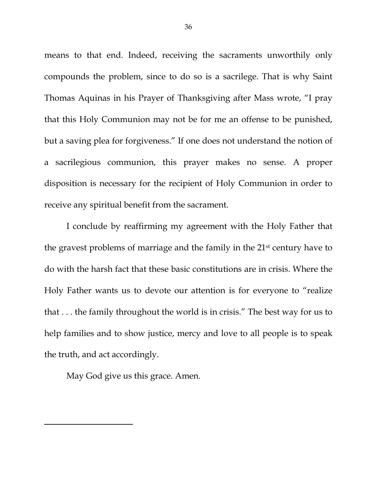means to that end. Indeed, receiving the sacraments unworthily only compounds the problem, since to do so is a sacrilege. That is why Saint Thomas Aquinas in his Prayer of Thanksgiving after Mass wrote, "I pray that this Holy Communion may not be for me an offense to be punished, but a saving plea for forgiveness." If one does not understand the notion of a sacrilegious communion, this prayer makes no sense. A proper disposition is necessary for the recipient of Holy Communion in order to receive any spiritual benefit from the sacrament.

I conclude by reaffirming my agreement with the Holy Father that the gravest problems of marriage and the family in the 21st century have to do with the harsh fact that these basic constitutions are in crisis. Where the Holy Father wants us to devote our attention is for everyone to "realize that . . . the family throughout the world is in crisis." The best way for us to help families and to show justice, mercy and love to all people is to speak the truth, and act accordingly.

May God give us this grace. Amen.

 $\overline{\phantom{a}}$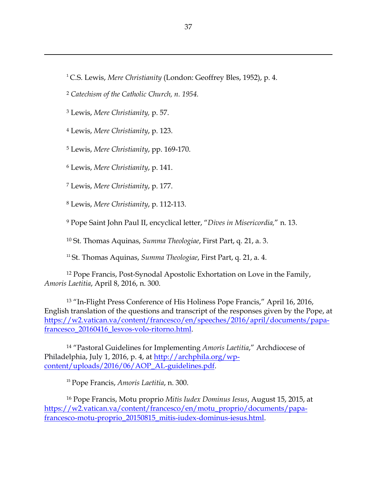C.S. Lewis, *Mere Christianity* (London: Geoffrey Bles, 1952), p. 4.

*Catechism of the Catholic Church, n. 1954.*

<span id="page-36-2"></span>Lewis, *Mere Christianity,* p. 57.

<span id="page-36-1"></span><span id="page-36-0"></span> $\overline{\phantom{a}}$ 

<span id="page-36-3"></span>Lewis, *Mere Christianity*, p. 123.

<span id="page-36-4"></span>Lewis, *Mere Christianity*, pp. 169-170.

<span id="page-36-5"></span>Lewis, *Mere Christianity*, p. 141.

<span id="page-36-6"></span>Lewis, *Mere Christianity*, p. 177.

<span id="page-36-7"></span>Lewis, *Mere Christianity*, p. 112-113.

<span id="page-36-8"></span>Pope Saint John Paul II, encyclical letter, "*Dives in Misericordia,*" n. 13.

St. Thomas Aquinas, *Summa Theologiae*, First Part, q. 21, a. 3.

St. Thomas Aquinas, *Summa Theologiae*, First Part, q. 21, a. 4.

<span id="page-36-11"></span><span id="page-36-10"></span><span id="page-36-9"></span> Pope Francis, Post-Synodal Apostolic Exhortation on Love in the Family, *Amoris Laetitia*, April 8, 2016, n. 300.

<span id="page-36-12"></span> "In-Flight Press Conference of His Holiness Pope Francis," April 16, 2016, English translation of the questions and transcript of the responses given by the Pope, at [https://w2.vatican.va/content/francesco/en/speeches/2016/april/documents/papa](https://w2.vatican.va/content/francesco/en/speeches/2016/april/documents/papa-francesco_20160416_lesvos-volo-ritorno.html)francesco 20160416 lesvos-volo-ritorno.html.

<span id="page-36-13"></span> "Pastoral Guidelines for Implementing *Amoris Laetitia*," Archdiocese of Philadelphia, July 1, 2016, p. 4, at [http://archphila.org/wp](http://archphila.org/wp-content/uploads/2016/06/AOP_AL-guidelines.pdf)[content/uploads/2016/06/AOP\\_AL-guidelines.pdf.](http://archphila.org/wp-content/uploads/2016/06/AOP_AL-guidelines.pdf)

Pope Francis, *Amoris Laetitia*, n. 300.

<span id="page-36-15"></span><span id="page-36-14"></span> Pope Francis, Motu proprio *Mitis Iudex Dominus Iesus*, August 15, 2015, at [https://w2.vatican.va/content/francesco/en/motu\\_proprio/documents/papa](https://w2.vatican.va/content/francesco/en/motu_proprio/documents/papa-francesco-motu-proprio_20150815_mitis-iudex-dominus-iesus.html)[francesco-motu-proprio\\_20150815\\_mitis-iudex-dominus-iesus.html.](https://w2.vatican.va/content/francesco/en/motu_proprio/documents/papa-francesco-motu-proprio_20150815_mitis-iudex-dominus-iesus.html)